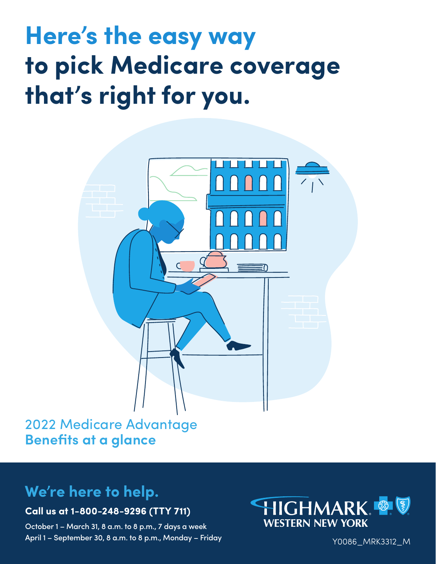# **Here's the easy way to pick Medicare coverage that's right for you.**



## 2022 Medicare Advantage **Benefits at a glance**

## **We're here to help.**

### **Call us at 1-800-248-9296 (TTY 711)**

October 1 – March 31, 8 a.m. to 8 p.m., 7 days a week April 1 – September 30, 8 a.m. to 8 p.m., Monday – Friday



Y0086\_MRK3312\_M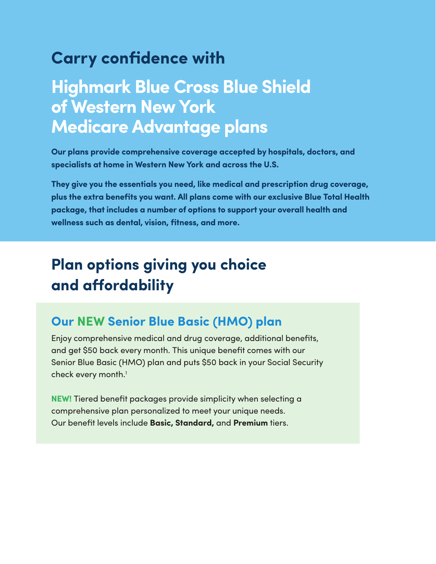## **Carry confidence with**

## **Highmark Blue Cross Blue Shield of Western New York Medicare Advantage plans**

**Our plans provide comprehensive coverage accepted by hospitals, doctors, and specialists at home in Western New York and across the U.S.**

**They give you the essentials you need, like medical and prescription drug coverage, plus the extra benefits you want. All plans come with our exclusive Blue Total Health package, that includes a number of options to support your overall health and wellness such as dental, vision, fitness, and more.**

## **Plan options giving you choice and affordability**

### **Our NEW Senior Blue Basic (HMO) plan**

Enjoy comprehensive medical and drug coverage, additional benefits, and get \$50 back every month. This unique benefit comes with our Senior Blue Basic (HMO) plan and puts \$50 back in your Social Security check every month.<sup>1</sup>

**NEW!** Tiered benefit packages provide simplicity when selecting a comprehensive plan personalized to meet your unique needs. Our benefit levels include **Basic, Standard,** and **Premium** tiers.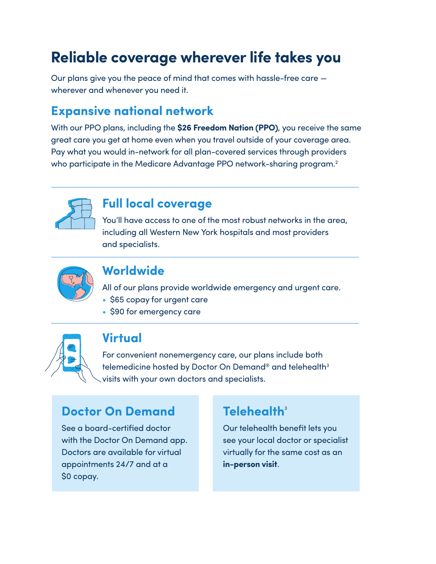## **Reliable coverage wherever life takes you**

Our plans give you the peace of mind that comes with hassle-free care wherever and whenever you need it.

### **Expansive national network**

With our PPO plans, including the **\$26 Freedom Nation (PPO)**, you receive the same great care you get at home even when you travel outside of your coverage area. Pay what you would in-network for all plan-covered services through providers who participate in the Medicare Advantage PPO network-sharing program.<sup>2</sup>



### **Full local coverage**

You'll have access to one of the most robust networks in the area, including all Western New York hospitals and most providers and specialists.



### **Worldwide**

All of our plans provide worldwide emergency and urgent care.

- \$65 copay for urgent care
- \$90 for emergency care



### **Virtual**

For convenient nonemergency care, our plans include both telemedicine hosted by Doctor On Demand® and telehealth<sup>3</sup> visits with your own doctors and specialists.

### **Doctor On Demand**

See a board-certified doctor with the Doctor On Demand app. Doctors are available for virtual appointments 24/7 and at a \$0 copay.

### **Telehealth<sup>3</sup>**

Our telehealth benefit lets you see your local doctor or specialist virtually for the same cost as an **in-person visit**.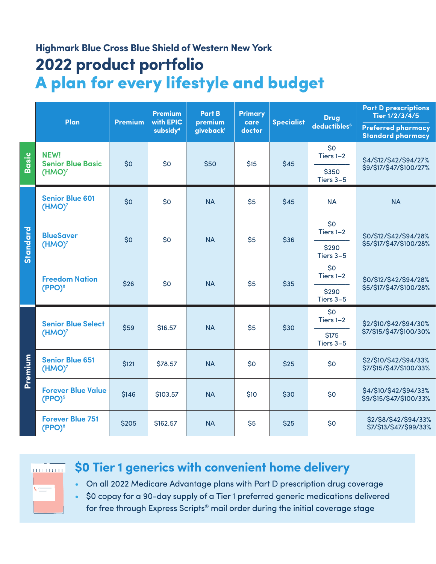## **Highmark Blue Cross Blue Shield of Western New York 2022 product portfolio** A plan for every lifestyle and budget

| deductibles <sup>6</sup><br><b>Preferred pharmacy</b><br>subsidy <sup>4</sup><br>giveback <sup>1</sup><br>doctor<br><b>Standard pharmacy</b><br>\$0<br>NEW!<br><b>Basic</b><br>Tiers 1-2<br>\$4/\$12/\$42/\$94/27%<br><b>Senior Blue Basic</b><br>\$0<br>\$0<br>\$50<br>\$15<br>\$45<br>\$9/\$17/\$47/\$100/27%<br>\$350<br>(HMO) <sup>7</sup><br>Tiers 3-5<br><b>Senior Blue 601</b><br>\$0<br>\$0<br><b>NA</b><br>\$5<br><b>NA</b><br>\$45<br><b>NA</b><br>(HMO) <sup>7</sup><br>\$0<br>Standard<br>Tiers 1-2<br><b>BlueSaver</b><br>\$0/\$12/\$42/\$94/28%<br>\$0<br>\$0<br><b>NA</b><br>\$5<br>\$36<br>\$5/\$17/\$47/\$100/28%<br>(HMO) <sup>7</sup><br>\$290<br>Tiers 3-5<br>\$0<br>Tiers 1-2<br><b>Freedom Nation</b><br>\$0/\$12/\$42/\$94/28%<br>\$0<br>\$26<br><b>NA</b><br>\$5<br>\$35<br>(PPO) <sup>8</sup><br>\$5/\$17/\$47/\$100/28%<br>\$290<br>Tiers 3-5<br>\$0<br>Tiers 1-2<br><b>Senior Blue Select</b><br>\$2/\$10/\$42/\$94/30%<br>\$59<br>\$5<br>\$16.57<br><b>NA</b><br>\$30<br>\$7/\$15/\$47/\$100/30%<br>(HMO) <sup>7</sup><br>\$175<br>Tiers 3-5<br>Premium<br><b>Senior Blue 651</b><br>\$2/\$10/\$42/\$94/33%<br>\$0<br>\$121<br>\$78.57<br><b>NA</b><br>\$0<br>\$25<br>\$7/\$15/\$47/\$100/33%<br>(HMO) <sup>7</sup><br><b>Forever Blue Value</b><br>\$4/\$10/\$42/\$94/33%<br>\$146<br>\$0<br>\$103.57<br><b>NA</b><br>\$10<br>\$30<br>\$9/\$15/\$47/\$100/33%<br>(PPO) <sup>5</sup><br><b>Forever Blue 751</b><br>\$2/\$8/\$42/\$94/33%<br>\$0<br>\$205<br>\$5<br>\$25<br>\$162.57<br><b>NA</b><br>\$7/\$13/\$47/\$99/33%<br>(PPO) <sup>8</sup> |  | Plan | <b>Premium</b><br>with EPIC<br><b>Premium</b> |  | <b>Part B</b><br>premium | <b>Primary</b><br>care | <b>Specialist</b> | <b>Drug</b> | <b>Part D prescriptions</b><br>Tier 1/2/3/4/5 |
|------------------------------------------------------------------------------------------------------------------------------------------------------------------------------------------------------------------------------------------------------------------------------------------------------------------------------------------------------------------------------------------------------------------------------------------------------------------------------------------------------------------------------------------------------------------------------------------------------------------------------------------------------------------------------------------------------------------------------------------------------------------------------------------------------------------------------------------------------------------------------------------------------------------------------------------------------------------------------------------------------------------------------------------------------------------------------------------------------------------------------------------------------------------------------------------------------------------------------------------------------------------------------------------------------------------------------------------------------------------------------------------------------------------------------------------------------------------------------------------------------------------------------------------------------------------------------|--|------|-----------------------------------------------|--|--------------------------|------------------------|-------------------|-------------|-----------------------------------------------|
|                                                                                                                                                                                                                                                                                                                                                                                                                                                                                                                                                                                                                                                                                                                                                                                                                                                                                                                                                                                                                                                                                                                                                                                                                                                                                                                                                                                                                                                                                                                                                                              |  |      |                                               |  |                          |                        |                   |             |                                               |
|                                                                                                                                                                                                                                                                                                                                                                                                                                                                                                                                                                                                                                                                                                                                                                                                                                                                                                                                                                                                                                                                                                                                                                                                                                                                                                                                                                                                                                                                                                                                                                              |  |      |                                               |  |                          |                        |                   |             |                                               |
|                                                                                                                                                                                                                                                                                                                                                                                                                                                                                                                                                                                                                                                                                                                                                                                                                                                                                                                                                                                                                                                                                                                                                                                                                                                                                                                                                                                                                                                                                                                                                                              |  |      |                                               |  |                          |                        |                   |             |                                               |
|                                                                                                                                                                                                                                                                                                                                                                                                                                                                                                                                                                                                                                                                                                                                                                                                                                                                                                                                                                                                                                                                                                                                                                                                                                                                                                                                                                                                                                                                                                                                                                              |  |      |                                               |  |                          |                        |                   |             |                                               |
|                                                                                                                                                                                                                                                                                                                                                                                                                                                                                                                                                                                                                                                                                                                                                                                                                                                                                                                                                                                                                                                                                                                                                                                                                                                                                                                                                                                                                                                                                                                                                                              |  |      |                                               |  |                          |                        |                   |             |                                               |
|                                                                                                                                                                                                                                                                                                                                                                                                                                                                                                                                                                                                                                                                                                                                                                                                                                                                                                                                                                                                                                                                                                                                                                                                                                                                                                                                                                                                                                                                                                                                                                              |  |      |                                               |  |                          |                        |                   |             |                                               |
|                                                                                                                                                                                                                                                                                                                                                                                                                                                                                                                                                                                                                                                                                                                                                                                                                                                                                                                                                                                                                                                                                                                                                                                                                                                                                                                                                                                                                                                                                                                                                                              |  |      |                                               |  |                          |                        |                   |             |                                               |
|                                                                                                                                                                                                                                                                                                                                                                                                                                                                                                                                                                                                                                                                                                                                                                                                                                                                                                                                                                                                                                                                                                                                                                                                                                                                                                                                                                                                                                                                                                                                                                              |  |      |                                               |  |                          |                        |                   |             |                                               |
|                                                                                                                                                                                                                                                                                                                                                                                                                                                                                                                                                                                                                                                                                                                                                                                                                                                                                                                                                                                                                                                                                                                                                                                                                                                                                                                                                                                                                                                                                                                                                                              |  |      |                                               |  |                          |                        |                   |             |                                               |
|                                                                                                                                                                                                                                                                                                                                                                                                                                                                                                                                                                                                                                                                                                                                                                                                                                                                                                                                                                                                                                                                                                                                                                                                                                                                                                                                                                                                                                                                                                                                                                              |  |      |                                               |  |                          |                        |                   |             |                                               |
|                                                                                                                                                                                                                                                                                                                                                                                                                                                                                                                                                                                                                                                                                                                                                                                                                                                                                                                                                                                                                                                                                                                                                                                                                                                                                                                                                                                                                                                                                                                                                                              |  |      |                                               |  |                          |                        |                   |             |                                               |
|                                                                                                                                                                                                                                                                                                                                                                                                                                                                                                                                                                                                                                                                                                                                                                                                                                                                                                                                                                                                                                                                                                                                                                                                                                                                                                                                                                                                                                                                                                                                                                              |  |      |                                               |  |                          |                        |                   |             |                                               |
|                                                                                                                                                                                                                                                                                                                                                                                                                                                                                                                                                                                                                                                                                                                                                                                                                                                                                                                                                                                                                                                                                                                                                                                                                                                                                                                                                                                                                                                                                                                                                                              |  |      |                                               |  |                          |                        |                   |             |                                               |

minimir.

### **\$0 Tier 1 generics with convenient home delivery**

• On all 2022 Medicare Advantage plans with Part D prescription drug coverage

• \$0 copay for a 90-day supply of a Tier 1 preferred generic medications delivered for free through Express Scripts® mail order during the initial coverage stage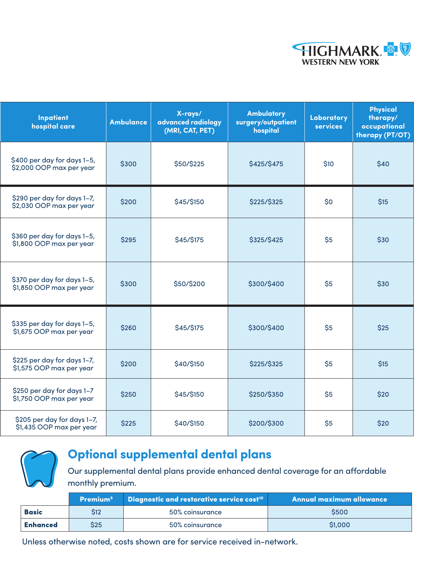

| <b>Inpatient</b><br>hospital care                       | <b>Ambulance</b> | X-rays/<br>advanced radiology<br>(MRI, CAT, PET) | <b>Ambulatory</b><br>surgery/outpatient<br>hospital | Laboratory<br><b>services</b> | <b>Physical</b><br>therapy/<br>occupational<br>therapy (PT/OT) |
|---------------------------------------------------------|------------------|--------------------------------------------------|-----------------------------------------------------|-------------------------------|----------------------------------------------------------------|
| \$400 per day for days 1-5,<br>\$2,000 OOP max per year | \$300            | \$50/\$225                                       | \$425/\$475                                         | \$10                          | \$40                                                           |
| \$290 per day for days 1-7,<br>\$2,030 OOP max per year | \$200            | \$45/\$150                                       | \$225/\$325                                         | \$0                           | \$15                                                           |
| \$360 per day for days 1-5,<br>\$1,800 OOP max per year | \$295            | \$45/\$175                                       | \$325/\$425                                         | \$5                           | \$30                                                           |
| \$370 per day for days 1-5,<br>\$1,850 OOP max per year | \$300            | \$50/\$200                                       | \$300/\$400                                         | \$5                           | \$30                                                           |
| \$335 per day for days 1-5,<br>\$1,675 OOP max per year | \$260            | \$45/\$175                                       | \$300/\$400                                         | \$5                           | \$25                                                           |
| \$225 per day for days 1-7,<br>\$1,575 OOP max per year | \$200            | \$40/\$150                                       | \$225/\$325                                         | \$5                           | \$15                                                           |
| \$250 per day for days 1-7<br>\$1,750 OOP max per year  | \$250            | \$45/\$150                                       | \$250/\$350                                         | \$5                           | \$20                                                           |
| \$205 per day for days 1-7,<br>\$1,435 OOP max per year | \$225            | \$40/\$150                                       | \$200/\$300                                         | \$5                           | \$20                                                           |



## **Optional supplemental dental plans**

Our supplemental dental plans provide enhanced dental coverage for an affordable monthly premium.

| <b>Premium<sup>9</sup></b> Diagnostic and restorative service cost <sup>10</sup> |            | Annual maximum allowance |             |
|----------------------------------------------------------------------------------|------------|--------------------------|-------------|
| <b>Basic</b>                                                                     | <b>S12</b> | 50% coinsurance          | <b>S500</b> |
| <b>Enhanced</b>                                                                  | S25        | 50% coinsurance          | \$1,000     |

Unless otherwise noted, costs shown are for service received in-network.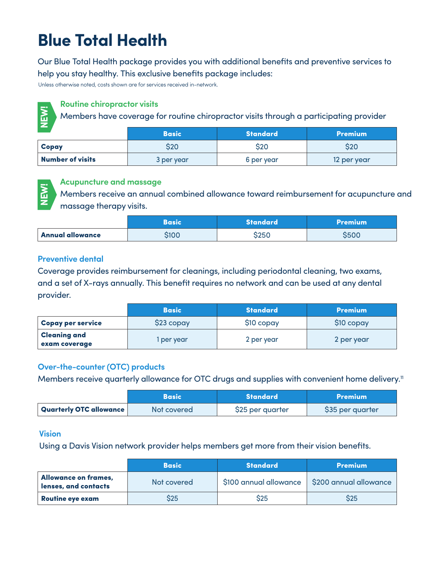## **Blue Total Health**

Our Blue Total Health package provides you with additional benefits and preventive services to help you stay healthy. This exclusive benefits package includes:

Unless otherwise noted, costs shown are for services received in-network.



#### **Routine chiropractor visits**

|                         | <b>Basic</b> | <b>Standard</b> | <b>Premium</b> |
|-------------------------|--------------|-----------------|----------------|
| Copay                   | S20          | S20             | S20            |
| <b>Number of visits</b> | 3 per year   | 6 per year      | 12 per year    |



#### **Acupuncture and massage**

|                         | Basic | <b>Standard</b> | <b>Premium</b> |
|-------------------------|-------|-----------------|----------------|
| <b>Annual allowance</b> | S100  | \$250           | <b>S500</b>    |

#### **Preventive dental**

| <b>NEW!</b><br>Members have coverage for routine chiropractor visits through a participating provider                                                                                                  |              |                                                                                   |                  |  |  |
|--------------------------------------------------------------------------------------------------------------------------------------------------------------------------------------------------------|--------------|-----------------------------------------------------------------------------------|------------------|--|--|
|                                                                                                                                                                                                        | <b>Basic</b> | <b>Standard</b>                                                                   | <b>Premium</b>   |  |  |
| Copay                                                                                                                                                                                                  | \$20         | \$20                                                                              | \$20             |  |  |
| <b>Number of visits</b>                                                                                                                                                                                | 3 per year   | 6 per year                                                                        | 12 per year      |  |  |
| <b>Acupuncture and massage</b><br><b>NEW!</b><br>massage therapy visits.                                                                                                                               |              | Members receive an annual combined allowance toward reimbursement for acupuncture |                  |  |  |
|                                                                                                                                                                                                        | <b>Basic</b> | <b>Standard</b>                                                                   | <b>Premium</b>   |  |  |
| <b>Annual allowance</b>                                                                                                                                                                                | \$100        | \$250                                                                             | \$500            |  |  |
| Coverage provides reimbursement for cleanings, including periodontal cleaning, two exams,<br>and a set of X-rays annually. This benefit requires no network and can be used at any dental<br>provider. |              |                                                                                   |                  |  |  |
|                                                                                                                                                                                                        | <b>Basic</b> | <b>Standard</b>                                                                   | <b>Premium</b>   |  |  |
| <b>Copay per service</b>                                                                                                                                                                               | \$23 copay   | \$10 copay                                                                        | \$10 copay       |  |  |
| <b>Cleaning and</b><br>exam coverage                                                                                                                                                                   | 1 per year   | 2 per year                                                                        | 2 per year       |  |  |
| Over-the-counter (OTC) products<br>Members receive quarterly allowance for OTC drugs and supplies with convenient home delivery                                                                        |              |                                                                                   |                  |  |  |
|                                                                                                                                                                                                        |              |                                                                                   |                  |  |  |
|                                                                                                                                                                                                        | <b>Basic</b> | <b>Standard</b>                                                                   | <b>Premium</b>   |  |  |
| <b>Quarterly OTC allowance</b>                                                                                                                                                                         | Not covered  | \$25 per quarter                                                                  | \$35 per quarter |  |  |

#### **Over-the-counter (OTC) products**

|                         | <b>Basic</b> | <b>Standard</b>  | <b>Premium</b>   |
|-------------------------|--------------|------------------|------------------|
| Quarterly OTC allowance | Not covered  | \$25 per quarter | \$35 per quarter |

#### **Vision**

Using a Davis Vision network provider helps members get more from their vision benefits.

|                                              | <b>Basic</b> | <b>Standard</b>        | <b>Premium</b>         |
|----------------------------------------------|--------------|------------------------|------------------------|
| Allowance on frames,<br>lenses, and contacts | Not covered  | \$100 annual allowance | \$200 annual allowance |
| <b>Routine eye exam</b>                      | S25          | S25                    | S25                    |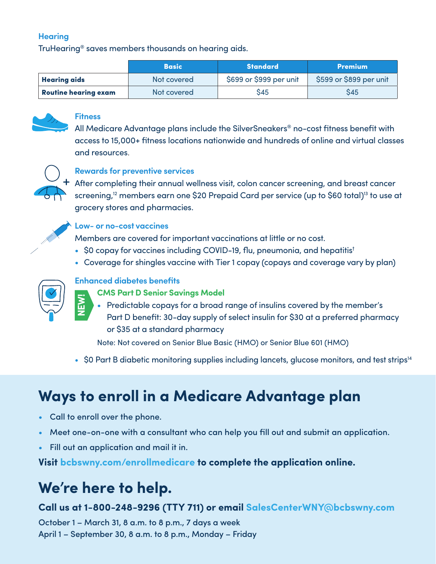### **Hearing**

TruHearing® saves members thousands on hearing aids.

|                             | <b>Basic</b> | <b>Standard</b>         | <b>Premium</b>          |
|-----------------------------|--------------|-------------------------|-------------------------|
| <b>Hearing aids</b>         | Not covered  | \$699 or \$999 per unit | \$599 or \$899 per unit |
| <b>Routine hearing exam</b> | Not covered  | S45                     | S45                     |



#### **Fitness**

All Medicare Advantage plans include the SilverSneakers® no-cost fitness benefit with access to 15,000+ fitness locations nationwide and hundreds of online and virtual classes and resources.



### **Rewards for preventive services**

 $\pm$  After completing their annual wellness visit, colon cancer screening, and breast cancer screening,<sup>12</sup> members earn one \$20 Prepaid Card per service (up to \$60 total)<sup>13</sup> to use at grocery stores and pharmacies.



#### **Low- or no-cost vaccines**

Members are covered for important vaccinations at little or no cost.

- \$0 copay for vaccines including COVID-19, flu, pneumonia, and hepatitis<sup>t</sup>
- Coverage for shingles vaccine with Tier 1 copay (copays and coverage vary by plan)



**NEW!**

### **Enhanced diabetes benefits**

- **CMS Part D Senior Savings Model**
- Predictable copays for a broad range of insulins covered by the member's
	- Part D benefit: 30-day supply of select insulin for \$30 at a preferred pharmacy or \$35 at a standard pharmacy

Note: Not covered on Senior Blue Basic (HMO) or Senior Blue 601 (HMO)

• \$0 Part B diabetic monitoring supplies including lancets, glucose monitors, and test strips<sup>14</sup>

## **Ways to enroll in a Medicare Advantage plan**

- Call to enroll over the phone.
- Meet one-on-one with a consultant who can help you fill out and submit an application.
- Fill out an application and mail it in.

**Visit bcbswny.com/enrollmedicare to complete the application online.**

## **We're here to help.**

### **Call us at 1-800-248-9296 (TTY 711) or email SalesCenterWNY@bcbswny.com**

October 1 – March 31, 8 a.m. to 8 p.m., 7 days a week April 1 – September 30, 8 a.m. to 8 p.m., Monday – Friday